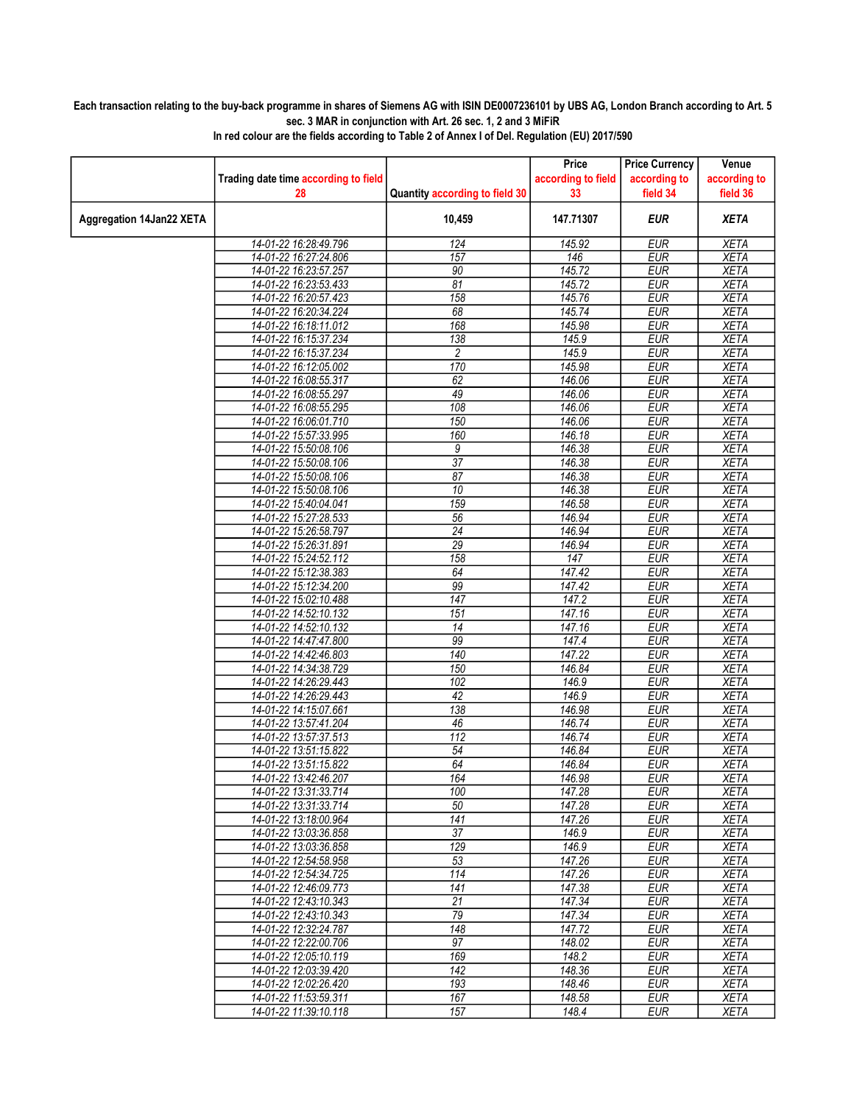## Each transaction relating to the buy-back programme in shares of Siemens AG with ISIN DE0007236101 by UBS AG, London Branch according to Art. 5 sec. 3 MAR in conjunction with Art. 26 sec. 1, 2 and 3 MiFiR

|                          |                                      |                                | Price              | <b>Price Currency</b> | Venue        |
|--------------------------|--------------------------------------|--------------------------------|--------------------|-----------------------|--------------|
|                          | Trading date time according to field |                                | according to field | according to          | according to |
|                          | 28                                   | Quantity according to field 30 | 33                 | field 34              | field 36     |
|                          |                                      |                                |                    |                       |              |
| Aggregation 14Jan22 XETA |                                      | 10,459                         | 147.71307          | <b>EUR</b>            | <b>XETA</b>  |
|                          | 14-01-22 16:28:49.796                | 124                            | 145.92             | <b>EUR</b>            | <b>XETA</b>  |
|                          | 14-01-22 16:27:24.806                | 157                            | 146                | <b>EUR</b>            | <b>XETA</b>  |
|                          | 14-01-22 16:23:57.257                | 90                             | 145.72             | EUR                   | <b>XETA</b>  |
|                          | 14-01-22 16:23:53.433                | 81                             | 145.72             | <b>EUR</b>            | <b>XETA</b>  |
|                          | 14-01-22 16:20:57.423                | 158                            | 145.76             | <b>EUR</b>            | <b>XETA</b>  |
|                          | 14-01-22 16:20:34.224                | 68                             | 145.74             | <b>EUR</b>            | <b>XETA</b>  |
|                          | 14-01-22 16:18:11.012                | 168                            | 145.98             | <b>EUR</b>            | <b>XETA</b>  |
|                          | 14-01-22 16:15:37.234                | 138                            | 145.9              | <b>EUR</b>            | <b>XETA</b>  |
|                          | 14-01-22 16:15:37.234                | $\overline{c}$                 | 145.9              | <b>EUR</b>            | <b>XETA</b>  |
|                          | 14-01-22 16:12:05.002                | 170                            | 145.98             | <b>EUR</b>            | <b>XETA</b>  |
|                          | 14-01-22 16:08:55.317                | 62                             | 146.06             | <b>EUR</b>            | <b>XETA</b>  |
|                          | 14-01-22 16:08:55.297                | 49                             | 146.06             | <b>EUR</b>            | <b>XETA</b>  |
|                          | 14-01-22 16:08:55.295                | 108                            | 146.06             | <b>EUR</b>            | <b>XETA</b>  |
|                          | 14-01-22 16:06:01.710                | 150                            | 146.06             | <b>EUR</b>            | <b>XETA</b>  |
|                          | 14-01-22 15:57:33.995                | 160                            | 146.18             | <b>EUR</b>            | <b>XETA</b>  |
|                          | 14-01-22 15:50:08.106                | 9                              | 146.38             | <b>EUR</b>            | <b>XETA</b>  |
|                          | 14-01-22 15:50:08.106                | 37                             | 146.38             | <b>EUR</b>            | <b>XETA</b>  |
|                          | 14-01-22 15:50:08.106                | 87                             | 146.38             | <b>EUR</b>            | <b>XETA</b>  |
|                          | 14-01-22 15:50:08.106                | $\overline{10}$                | 146.38             | <b>EUR</b>            | <b>XETA</b>  |
|                          | 14-01-22 15:40:04.041                | 159                            | 146.58             | <b>EUR</b>            | <b>XETA</b>  |
|                          | 14-01-22 15:27:28.533                | 56                             | 146.94             | <b>EUR</b>            | <b>XETA</b>  |
|                          | 14-01-22 15:26:58.797                | $\overline{24}$                | 146.94             | <b>EUR</b>            | <b>XETA</b>  |
|                          | 14-01-22 15:26:31.891                | $\overline{29}$                | 146.94             | <b>EUR</b>            | <b>XETA</b>  |
|                          | 14-01-22 15:24:52.112                | 158                            | 147                | <b>EUR</b>            | <b>XETA</b>  |
|                          | 14-01-22 15:12:38.383                | 64                             | 147.42             | <b>EUR</b>            | <b>XETA</b>  |
|                          | 14-01-22 15:12:34.200                | 99                             | 147.42             | <b>EUR</b>            | <b>XETA</b>  |
|                          | 14-01-22 15:02:10.488                | 147                            | 147.2              | <b>EUR</b>            | <b>XETA</b>  |
|                          | 14-01-22 14:52:10.132                | 151                            | 147.16             | <b>EUR</b>            | <b>XETA</b>  |
|                          | 14-01-22 14:52:10.132                | 14                             | 147.16             | <b>EUR</b>            | <b>XETA</b>  |
|                          | 14-01-22 14:47:47.800                | 99                             | 147.4              | <b>EUR</b>            | <b>XETA</b>  |
|                          | 14-01-22 14:42:46.803                | 140                            | 147.22             | <b>EUR</b>            | <b>XETA</b>  |
|                          | 14-01-22 14:34:38.729                | 150                            | 146.84             | <b>EUR</b>            | <b>XETA</b>  |
|                          | 14-01-22 14:26:29.443                | 102                            | 146.9              | <b>EUR</b>            | <b>XETA</b>  |
|                          | 14-01-22 14:26:29.443                | 42                             | 146.9              | <b>EUR</b>            | <b>XETA</b>  |
|                          | 14-01-22 14:15:07.661                | 138                            | 146.98             | <b>EUR</b>            | <b>XETA</b>  |
|                          | 14-01-22 13:57:41.204                | 46                             | 146.74             | <b>EUR</b>            | <b>XETA</b>  |
|                          | 14-01-22 13:57:37.513                | 112                            | 146.74             | <b>EUR</b>            | <b>XETA</b>  |
|                          | 14-01-22 13:51:15.822                | 54                             | 146.84             | <b>EUR</b>            | <b>XETA</b>  |
|                          | 14-01-22 13:51:15.822                | 64                             | 146.84             | <b>EUR</b>            | <b>XETA</b>  |
|                          | 14-01-22 13:42:46.207                | 164                            | 146.98             | <b>FUR</b>            | <b>XETA</b>  |
|                          | 14-01-22 13:31:33.714                | 100                            | 147.28             | <b>EUR</b>            | <b>XETA</b>  |
|                          | 14-01-22 13:31:33.714                | 50                             | 147.28             | <b>EUR</b>            | XETA         |
|                          | 14-01-22 13:18:00.964                | 141                            | 147.26             | <b>EUR</b>            | XETA         |
|                          | 14-01-22 13:03:36.858                | $\overline{37}$                | 146.9              | <b>EUR</b>            | <b>XETA</b>  |
|                          | 14-01-22 13:03:36.858                | 129                            | 146.9              | <b>EUR</b>            | <b>XETA</b>  |
|                          | 14-01-22 12:54:58.958                | 53                             | 147.26             | <b>EUR</b>            | <b>XETA</b>  |
|                          | 14-01-22 12:54:34.725                | 114                            | 147.26             | <b>EUR</b>            | <b>XETA</b>  |
|                          | 14-01-22 12:46:09.773                | 141                            | 147.38             | <b>EUR</b>            | <b>XETA</b>  |
|                          | 14-01-22 12:43:10.343                | 21                             | 147.34             | <b>EUR</b>            | <b>XETA</b>  |
|                          | 14-01-22 12:43:10.343                | 79                             | 147.34             | <b>EUR</b>            | <b>XETA</b>  |
|                          | 14-01-22 12:32:24.787                | 148                            | 147.72             | <b>EUR</b>            | <b>XETA</b>  |
|                          | 14-01-22 12:22:00.706                | 97                             | 148.02             | <b>EUR</b>            | <b>XETA</b>  |
|                          | 14-01-22 12:05:10.119                | 169                            | 148.2              | <b>EUR</b>            | <b>XETA</b>  |
|                          | 14-01-22 12:03:39.420                | 142                            | 148.36             | <b>EUR</b>            | XETA         |
|                          | 14-01-22 12:02:26.420                | 193                            | 148.46             | <b>EUR</b>            | <b>XETA</b>  |
|                          | 14-01-22 11:53:59.311                | 167                            | 148.58             | <b>EUR</b>            | <b>XETA</b>  |
|                          | 14-01-22 11:39:10.118                | 157                            | 148.4              | <b>EUR</b>            | <b>XETA</b>  |

In red colour are the fields according to Table 2 of Annex I of Del. Regulation (EU) 2017/590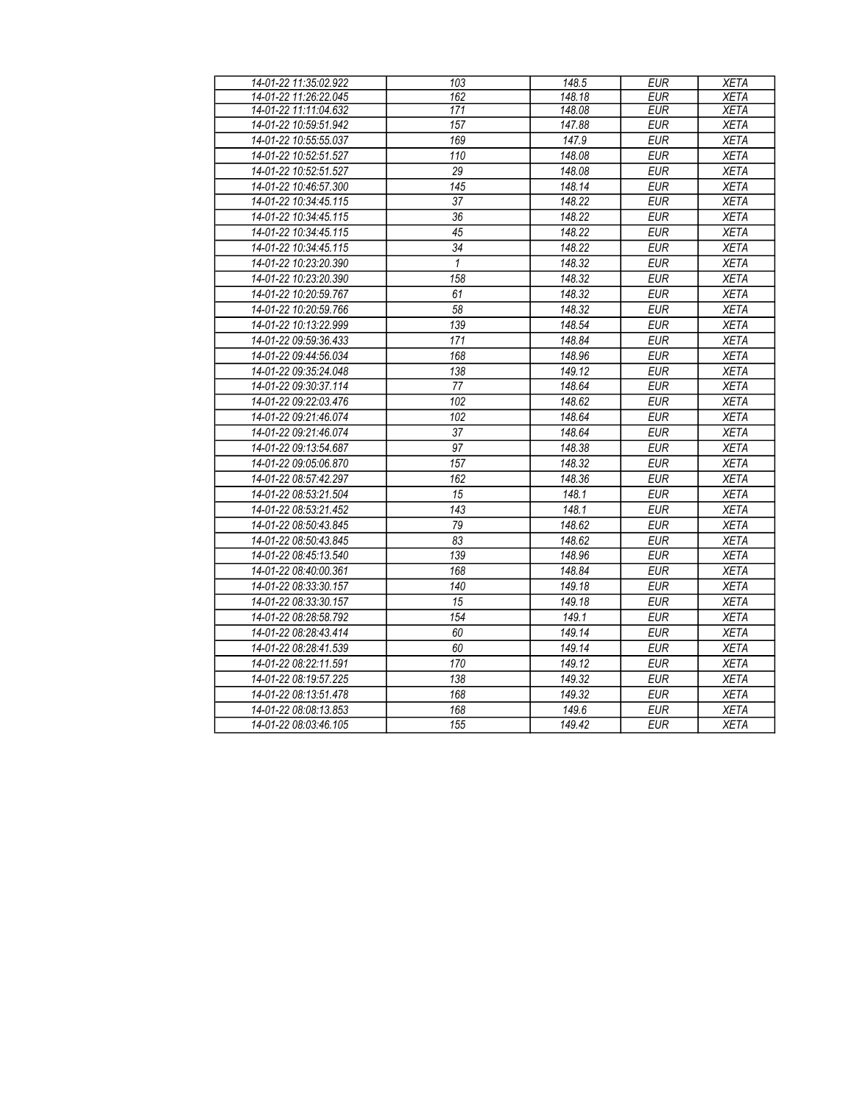| 14-01-22 11:35:02.922 | 103             | 148.5  | <b>EUR</b> | <b>XETA</b> |
|-----------------------|-----------------|--------|------------|-------------|
| 14-01-22 11:26:22.045 | 162             | 148.18 | <b>EUR</b> | <b>XETA</b> |
| 14-01-22 11:11:04.632 | 171             | 148.08 | <b>EUR</b> | <b>XETA</b> |
| 14-01-22 10:59:51.942 | 157             | 147.88 | <b>EUR</b> | <b>XETA</b> |
| 14-01-22 10:55:55.037 | 169             | 147.9  | <b>EUR</b> | <b>XETA</b> |
| 14-01-22 10:52:51.527 | 110             | 148.08 | <b>EUR</b> | <b>XETA</b> |
| 14-01-22 10:52:51.527 | $\overline{29}$ | 148.08 | <b>EUR</b> | <b>XETA</b> |
| 14-01-22 10:46:57.300 | 145             | 148.14 | <b>EUR</b> | <b>XETA</b> |
| 14-01-22 10:34:45.115 | 37              | 148.22 | <b>EUR</b> | <b>XETA</b> |
| 14-01-22 10:34:45.115 | 36              | 148.22 | <b>EUR</b> | <b>XETA</b> |
| 14-01-22 10:34:45.115 | 45              | 148.22 | <b>EUR</b> | <b>XETA</b> |
| 14-01-22 10:34:45.115 | $\overline{34}$ | 148.22 | <b>EUR</b> | <b>XETA</b> |
| 14-01-22 10:23:20.390 | $\mathbf{1}$    | 148.32 | <b>EUR</b> | <b>XETA</b> |
| 14-01-22 10:23:20.390 | 158             | 148.32 | <b>EUR</b> | <b>XETA</b> |
| 14-01-22 10:20:59.767 | 61              | 148.32 | <b>EUR</b> | <b>XETA</b> |
| 14-01-22 10:20:59.766 | $\overline{58}$ | 148.32 | <b>EUR</b> | <b>XETA</b> |
| 14-01-22 10:13:22.999 | 139             | 148.54 | <b>EUR</b> | <b>XETA</b> |
| 14-01-22 09:59:36.433 | 171             | 148.84 | <b>EUR</b> | <b>XETA</b> |
| 14-01-22 09:44:56.034 | 168             | 148.96 | <b>EUR</b> | <b>XETA</b> |
| 14-01-22 09:35:24.048 | 138             | 149.12 | <b>EUR</b> | <b>XETA</b> |
| 14-01-22 09:30:37.114 | 77              | 148.64 | <b>EUR</b> | <b>XETA</b> |
| 14-01-22 09:22:03.476 | 102             | 148.62 | <b>EUR</b> | <b>XETA</b> |
| 14-01-22 09:21:46.074 | 102             | 148.64 | <b>EUR</b> | <b>XETA</b> |
| 14-01-22 09:21:46.074 | 37              | 148.64 | <b>EUR</b> | <b>XETA</b> |
| 14-01-22 09:13:54.687 | 97              | 148.38 | <b>EUR</b> | <b>XETA</b> |
| 14-01-22 09:05:06.870 | 157             | 148.32 | <b>EUR</b> | <b>XETA</b> |
| 14-01-22 08:57:42.297 | 162             | 148.36 | <b>EUR</b> | <b>XETA</b> |
| 14-01-22 08:53:21.504 | 15              | 148.1  | <b>EUR</b> | <b>XETA</b> |
| 14-01-22 08:53:21.452 | 143             | 148.1  | <b>EUR</b> | <b>XETA</b> |
| 14-01-22 08:50:43.845 | 79              | 148.62 | <b>EUR</b> | <b>XETA</b> |
| 14-01-22 08:50:43.845 | 83              | 148.62 | <b>EUR</b> | <b>XETA</b> |
| 14-01-22 08:45:13.540 | 139             | 148.96 | <b>EUR</b> | <b>XETA</b> |
| 14-01-22 08:40:00.361 | 168             | 148.84 | <b>EUR</b> | <b>XETA</b> |
| 14-01-22 08:33:30.157 | 140             | 149.18 | <b>EUR</b> | <b>XETA</b> |
| 14-01-22 08:33:30.157 | 15              | 149.18 | <b>EUR</b> | <b>XETA</b> |
| 14-01-22 08:28:58.792 | 154             | 149.1  | <b>EUR</b> | <b>XETA</b> |
| 14-01-22 08:28:43.414 | 60              | 149.14 | <b>EUR</b> | <b>XETA</b> |
| 14-01-22 08:28:41.539 | 60              | 149.14 | <b>EUR</b> | <b>XETA</b> |
| 14-01-22 08:22:11.591 | 170             | 149.12 | <b>EUR</b> | <b>XETA</b> |
| 14-01-22 08:19:57.225 | 138             | 149.32 | <b>EUR</b> | <b>XETA</b> |
| 14-01-22 08:13:51.478 | 168             | 149.32 | <b>EUR</b> | <b>XETA</b> |
| 14-01-22 08:08:13.853 | 168             | 149.6  | <b>EUR</b> | <b>XETA</b> |
| 14-01-22 08:03:46.105 | 155             | 149.42 | <b>EUR</b> | <b>XETA</b> |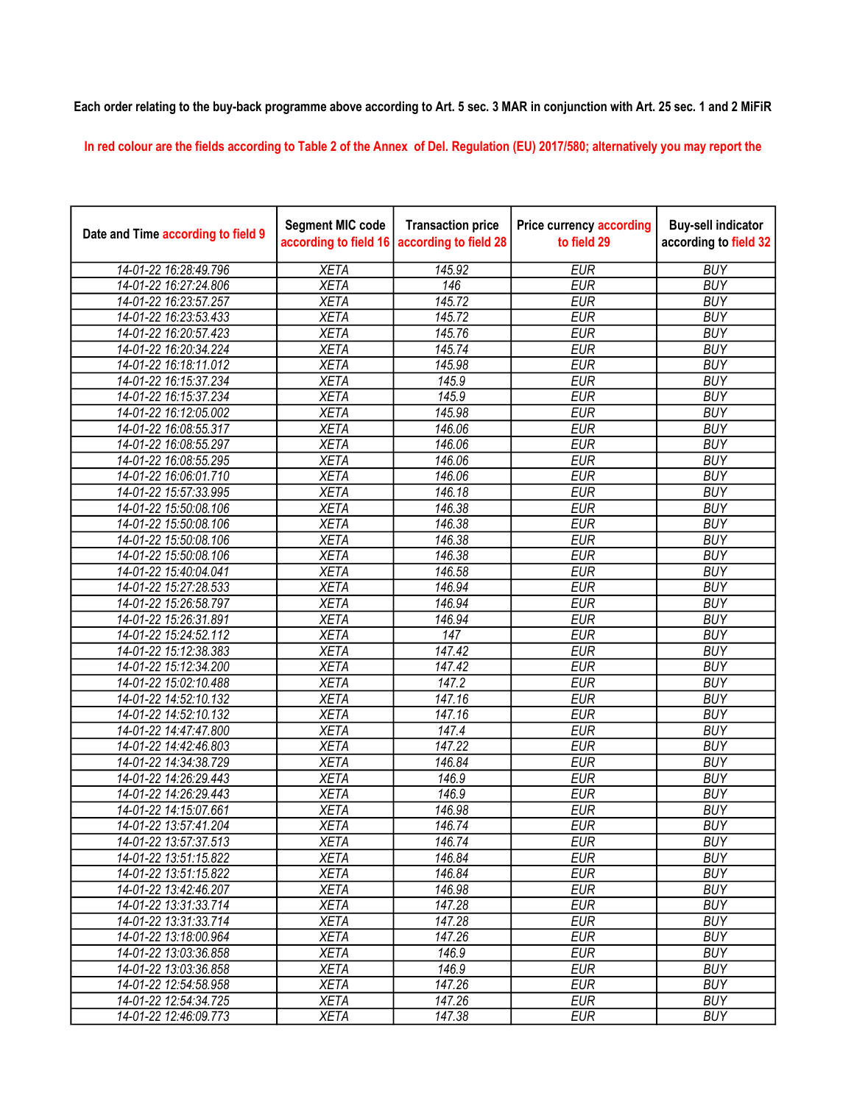## Each order relating to the buy-back programme above according to Art. 5 sec. 3 MAR in conjunction with Art. 25 sec. 1 and 2 MiFiR

In red colour are the fields according to Table 2 of the Annex of Del. Regulation (EU) 2017/580; alternatively you may report the

| Date and Time according to field 9 | <b>Segment MIC code</b><br>according to field 16 | <b>Transaction price</b><br>according to field 28 | <b>Price currency according</b><br>to field 29 | <b>Buy-sell indicator</b><br>according to field 32 |
|------------------------------------|--------------------------------------------------|---------------------------------------------------|------------------------------------------------|----------------------------------------------------|
| 14-01-22 16:28:49.796              | <b>XETA</b>                                      | 145.92                                            | <b>EUR</b>                                     | <b>BUY</b>                                         |
| 14-01-22 16:27:24.806              | <b>XETA</b>                                      | 146                                               | <b>EUR</b>                                     | <b>BUY</b>                                         |
| 14-01-22 16:23:57.257              | <b>XETA</b>                                      | 145.72                                            | <b>EUR</b>                                     | <b>BUY</b>                                         |
| 14-01-22 16:23:53.433              | <b>XETA</b>                                      | 145.72                                            | <b>EUR</b>                                     | <b>BUY</b>                                         |
| 14-01-22 16:20:57.423              | <b>XETA</b>                                      | 145.76                                            | <b>EUR</b>                                     | <b>BUY</b>                                         |
| 14-01-22 16:20:34.224              | <b>XETA</b>                                      | 145.74                                            | <b>EUR</b>                                     | <b>BUY</b>                                         |
| 14-01-22 16:18:11.012              | <b>XETA</b>                                      | 145.98                                            | <b>EUR</b>                                     | <b>BUY</b>                                         |
| 14-01-22 16:15:37.234              | <b>XETA</b>                                      | 145.9                                             | <b>EUR</b>                                     | <b>BUY</b>                                         |
| 14-01-22 16:15:37.234              | <b>XETA</b>                                      | 145.9                                             | <b>EUR</b>                                     | <b>BUY</b>                                         |
| 14-01-22 16:12:05.002              | <b>XETA</b>                                      | 145.98                                            | <b>EUR</b>                                     | <b>BUY</b>                                         |
| 14-01-22 16:08:55.317              | <b>XETA</b>                                      | 146.06                                            | <b>EUR</b>                                     | <b>BUY</b>                                         |
| 14-01-22 16:08:55.297              | <b>XETA</b>                                      | 146.06                                            | <b>EUR</b>                                     | <b>BUY</b>                                         |
| 14-01-22 16:08:55.295              | <b>XETA</b>                                      | 146.06                                            | <b>EUR</b>                                     | <b>BUY</b>                                         |
| 14-01-22 16:06:01.710              | <b>XETA</b>                                      | 146.06                                            | <b>EUR</b>                                     | <b>BUY</b>                                         |
| 14-01-22 15:57:33.995              | <b>XETA</b>                                      | 146.18                                            | <b>EUR</b>                                     | <b>BUY</b>                                         |
| 14-01-22 15:50:08.106              | <b>XETA</b>                                      | 146.38                                            | <b>EUR</b>                                     | <b>BUY</b>                                         |
| 14-01-22 15:50:08.106              | <b>XETA</b>                                      | 146.38                                            | <b>EUR</b>                                     | <b>BUY</b>                                         |
| 14-01-22 15:50:08.106              | <b>XETA</b>                                      | 146.38                                            | <b>EUR</b>                                     | <b>BUY</b>                                         |
| 14-01-22 15:50:08.106              | <b>XETA</b>                                      | 146.38                                            | <b>EUR</b>                                     | <b>BUY</b>                                         |
| 14-01-22 15:40:04.041              | <b>XETA</b>                                      | 146.58                                            | <b>EUR</b>                                     | <b>BUY</b>                                         |
| 14-01-22 15:27:28.533              | <b>XETA</b>                                      | 146.94                                            | <b>EUR</b>                                     | <b>BUY</b>                                         |
| 14-01-22 15:26:58.797              | <b>XETA</b>                                      | 146.94                                            | <b>EUR</b>                                     | <b>BUY</b>                                         |
| 14-01-22 15:26:31.891              | <b>XETA</b>                                      | 146.94                                            | <b>EUR</b>                                     | <b>BUY</b>                                         |
| 14-01-22 15:24:52.112              | <b>XETA</b>                                      | 147                                               | <b>EUR</b>                                     | <b>BUY</b>                                         |
| 14-01-22 15:12:38.383              | <b>XETA</b>                                      | 147.42                                            | <b>EUR</b>                                     | <b>BUY</b>                                         |
| 14-01-22 15:12:34.200              | <b>XETA</b>                                      | 147.42                                            | <b>EUR</b>                                     | <b>BUY</b>                                         |
| 14-01-22 15:02:10.488              | <b>XETA</b>                                      | 147.2                                             | <b>EUR</b>                                     | <b>BUY</b>                                         |
| 14-01-22 14:52:10.132              | <b>XETA</b>                                      | 147.16                                            | <b>EUR</b>                                     | <b>BUY</b>                                         |
| 14-01-22 14:52:10.132              | <b>XETA</b>                                      | 147.16                                            | <b>EUR</b>                                     | <b>BUY</b>                                         |
| 14-01-22 14:47:47.800              | <b>XETA</b>                                      | $\frac{1}{47.4}$                                  | <b>EUR</b>                                     | <b>BUY</b>                                         |
| 14-01-22 14:42:46.803              | <b>XETA</b>                                      | 147.22                                            | <b>EUR</b>                                     | <b>BUY</b>                                         |
| 14-01-22 14:34:38.729              | <b>XETA</b>                                      | 146.84                                            | <b>EUR</b>                                     | <b>BUY</b>                                         |
| 14-01-22 14:26:29.443              | <b>XETA</b>                                      | 146.9                                             | <b>EUR</b>                                     | <b>BUY</b>                                         |
| 14-01-22 14:26:29.443              | <b>XETA</b>                                      | 146.9                                             | <b>EUR</b>                                     | <b>BUY</b>                                         |
| 14-01-22 14:15:07.661              | <b>XETA</b>                                      | 146.98                                            | <b>EUR</b>                                     | <b>BUY</b>                                         |
| 14-01-22 13:57:41.204              | <b>XETA</b>                                      | 146.74                                            | <b>EUR</b>                                     | <b>BUY</b>                                         |
| 14-01-22 13:57:37.513              | <b>XETA</b>                                      | 146.74                                            | <b>EUR</b>                                     | <b>BUY</b>                                         |
| 14-01-22 13:51:15.822              | <b>XETA</b>                                      | 146.84                                            | <b>EUR</b>                                     | <b>BUY</b>                                         |
| 14-01-22 13:51:15.822              | <b>XETA</b>                                      | 146.84                                            | <b>EUR</b>                                     | <b>BUY</b>                                         |
| 14-01-22 13:42:46.207              | <b>XETA</b>                                      | 146.98                                            | <b>EUR</b>                                     | <b>BUY</b>                                         |
| 14-01-22 13:31:33.714              | <b>XETA</b>                                      | 147.28                                            | <b>EUR</b>                                     | <b>BUY</b>                                         |
| 14-01-22 13:31:33.714              | <b>XETA</b>                                      | 147.28                                            | <b>EUR</b>                                     | <b>BUY</b>                                         |
| 14-01-22 13:18:00.964              | <b>XETA</b>                                      | 147.26                                            | <b>EUR</b>                                     | <b>BUY</b>                                         |
| 14-01-22 13:03:36.858              | <b>XETA</b>                                      | 146.9                                             | <b>EUR</b>                                     | <b>BUY</b>                                         |
| 14-01-22 13:03:36.858              | <b>XETA</b>                                      | 146.9                                             | <b>EUR</b>                                     | <b>BUY</b>                                         |
| 14-01-22 12:54:58.958              | <b>XETA</b>                                      | 147.26                                            | <b>EUR</b>                                     | <b>BUY</b>                                         |
| 14-01-22 12:54:34.725              | <b>XETA</b>                                      | 147.26                                            | <b>EUR</b>                                     | <b>BUY</b>                                         |
| 14-01-22 12:46:09.773              | <b>XETA</b>                                      | 147.38                                            | <b>EUR</b>                                     | <b>BUY</b>                                         |